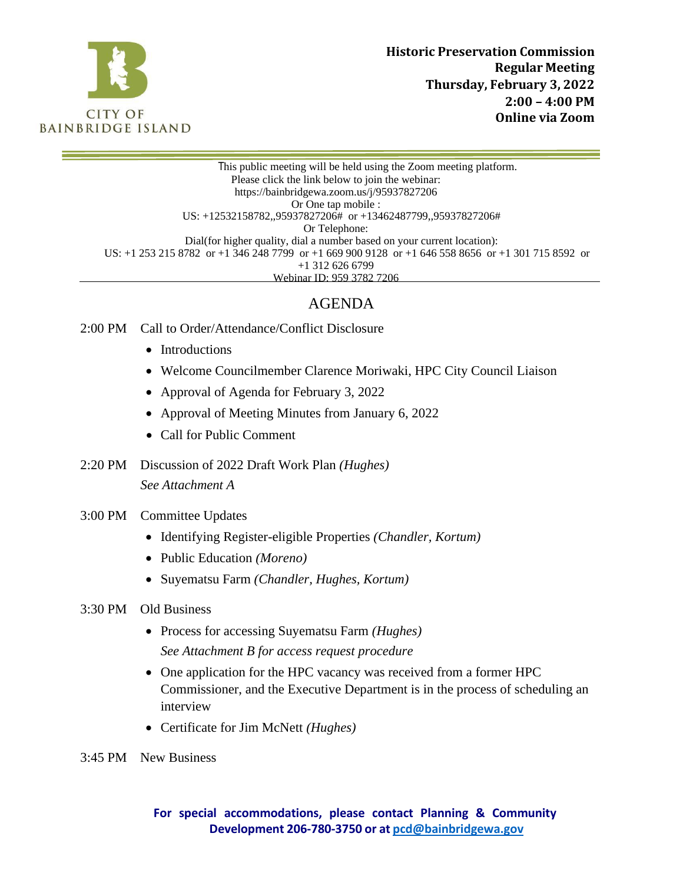

This public meeting will be held using the Zoom meeting platform. Please click the link below to join the webinar: https://bainbridgewa[.zoom.us/j/95937827206](https://bainbridgewa.zoom.us/j/92580688188) Or One tap mobile : US: +12532158782,,95937827206# or +13462487799,,95937827206# Or Telephone: Dial(for higher quality, dial a number based on your current location): US: +1 253 215 8782 or +1 346 248 7799 or +1 669 900 9128 or +1 646 558 8656 or +1 301 715 8592 or +1 312 626 6799 Webinar ID: 959 3782 7206

# AGENDA

- 2:00 PM Call to Order/Attendance/Conflict Disclosure
	- Introductions
	- Welcome Councilmember Clarence Moriwaki, HPC City Council Liaison
	- Approval of Agenda for February 3, 2022
	- Approval of Meeting Minutes from January 6, 2022
	- Call for Public Comment
- 2:20 PM Discussion of 2022 Draft Work Plan *(Hughes)*

*See Attachment A*

- 3:00 PM Committee Updates
	- Identifying Register-eligible Properties *(Chandler, Kortum)*
	- Public Education *(Moreno)*
	- Suyematsu Farm *(Chandler, Hughes, Kortum)*
- 3:30 PM Old Business
	- Process for accessing Suyematsu Farm *(Hughes) See Attachment B for access request procedure*
	- One application for the HPC vacancy was received from a former HPC Commissioner, and the Executive Department is in the process of scheduling an interview
	- Certificate for Jim McNett *(Hughes)*
- 3:45 PM New Business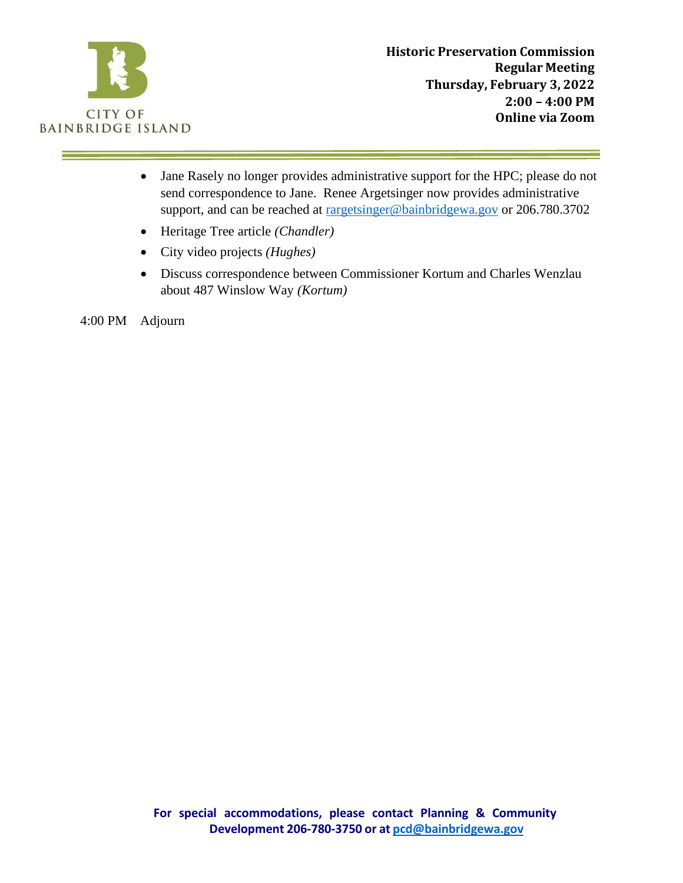

- Jane Rasely no longer provides administrative support for the HPC; please do not send correspondence to Jane. Renee Argetsinger now provides administrative support, and can be reached at [rargetsinger@bainbridgewa.gov](mailto:rargetsinger@bainbridgewa.gov) or 206.780.3702
- Heritage Tree article *(Chandler)*
- City video projects *(Hughes)*
- Discuss correspondence between Commissioner Kortum and Charles Wenzlau about 487 Winslow Way *(Kortum)*

4:00 PM Adjourn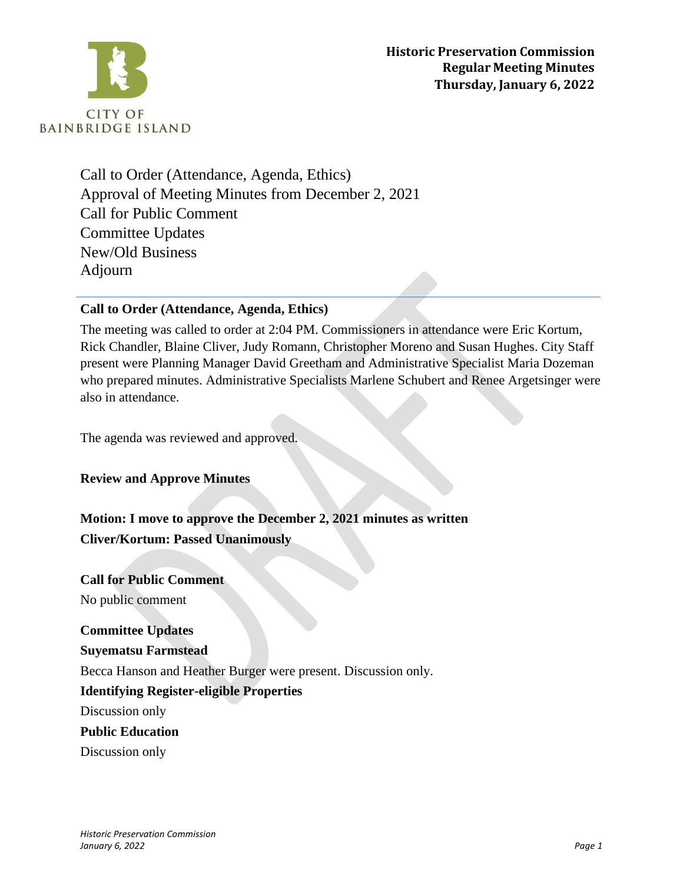

Call to Order (Attendance, Agenda, Ethics) Approval of Meeting Minutes from December 2, 2021 Call for Public Comment Committee Updates New/Old Business Adjourn

## **Call to Order (Attendance, Agenda, Ethics)**

The meeting was called to order at 2:04 PM. Commissioners in attendance were Eric Kortum, Rick Chandler, Blaine Cliver, Judy Romann, Christopher Moreno and Susan Hughes. City Staff present were Planning Manager David Greetham and Administrative Specialist Maria Dozeman who prepared minutes. Administrative Specialists Marlene Schubert and Renee Argetsinger were also in attendance.

The agenda was reviewed and approved.

**Review and Approve Minutes**

**Motion: I move to approve the December 2, 2021 minutes as written Cliver/Kortum: Passed Unanimously**

**Call for Public Comment** No public comment

**Committee Updates Suyematsu Farmstead** Becca Hanson and Heather Burger were present. Discussion only. **Identifying Register-eligible Properties** Discussion only **Public Education** Discussion only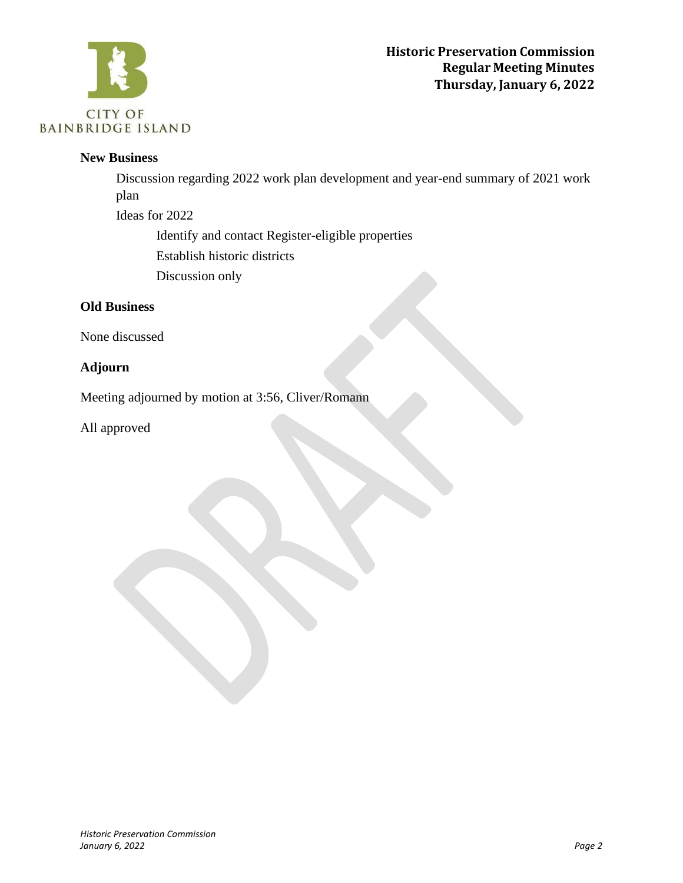

#### **New Business**

Discussion regarding 2022 work plan development and year-end summary of 2021 work plan

Ideas for 2022

Identify and contact Register-eligible properties

Establish historic districts

Discussion only

# **Old Business**

None discussed

# **Adjourn**

Meeting adjourned by motion at 3:56, Cliver/Romann

All approved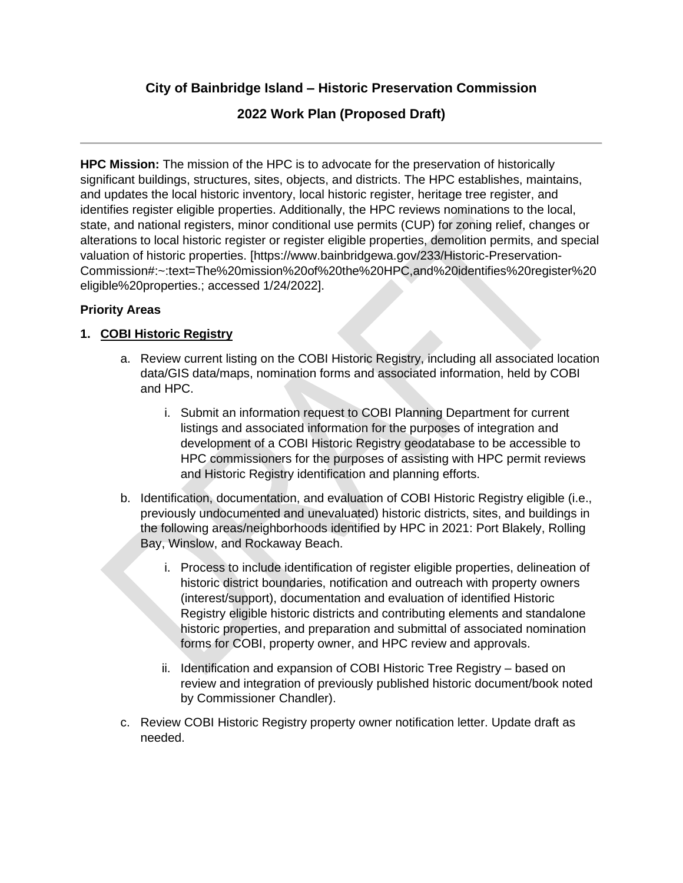**City of Bainbridge Island – Historic Preservation Commission**

# **2022 Work Plan (Proposed Draft)**

**HPC Mission:** The mission of the HPC is to advocate for the preservation of historically significant buildings, structures, sites, objects, and districts. The HPC establishes, maintains, and updates the local historic inventory, local historic register, heritage tree register, and identifies register eligible properties. Additionally, the HPC reviews nominations to the local, state, and national registers, minor conditional use permits (CUP) for zoning relief, changes or alterations to local historic register or register eligible properties, demolition permits, and special valuation of historic properties. [https://www.bainbridgewa.gov/233/Historic-Preservation-Commission#:~:text=The%20mission%20of%20the%20HPC,and%20identifies%20register%20 eligible%20properties.; accessed 1/24/2022].

## **Priority Areas**

## **1. COBI Historic Registry**

- a. Review current listing on the COBI Historic Registry, including all associated location data/GIS data/maps, nomination forms and associated information, held by COBI and HPC.
	- i. Submit an information request to COBI Planning Department for current listings and associated information for the purposes of integration and development of a COBI Historic Registry geodatabase to be accessible to HPC commissioners for the purposes of assisting with HPC permit reviews and Historic Registry identification and planning efforts.
- b. Identification, documentation, and evaluation of COBI Historic Registry eligible (i.e., previously undocumented and unevaluated) historic districts, sites, and buildings in the following areas/neighborhoods identified by HPC in 2021: Port Blakely, Rolling Bay, Winslow, and Rockaway Beach.
	- i. Process to include identification of register eligible properties, delineation of historic district boundaries, notification and outreach with property owners (interest/support), documentation and evaluation of identified Historic Registry eligible historic districts and contributing elements and standalone historic properties, and preparation and submittal of associated nomination forms for COBI, property owner, and HPC review and approvals.
	- ii. Identification and expansion of COBI Historic Tree Registry based on review and integration of previously published historic document/book noted by Commissioner Chandler).
- c. Review COBI Historic Registry property owner notification letter. Update draft as needed.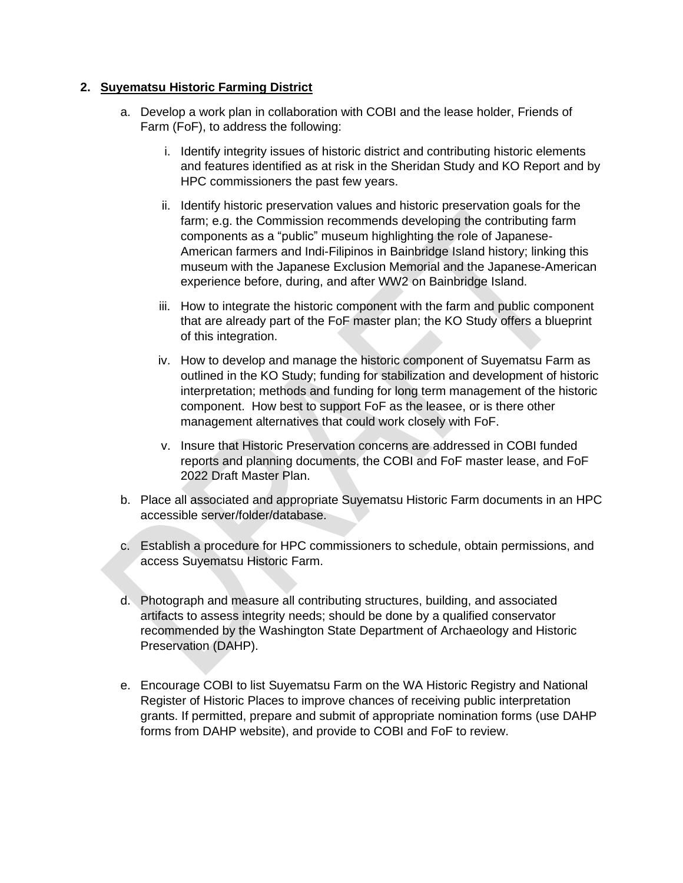#### **2. Suyematsu Historic Farming District**

- a. Develop a work plan in collaboration with COBI and the lease holder, Friends of Farm (FoF), to address the following:
	- i. Identify integrity issues of historic district and contributing historic elements and features identified as at risk in the Sheridan Study and KO Report and by HPC commissioners the past few years.
	- ii. Identify historic preservation values and historic preservation goals for the farm; e.g. the Commission recommends developing the contributing farm components as a "public" museum highlighting the role of Japanese-American farmers and Indi-Filipinos in Bainbridge Island history; linking this museum with the Japanese Exclusion Memorial and the Japanese-American experience before, during, and after WW2 on Bainbridge Island.
	- iii. How to integrate the historic component with the farm and public component that are already part of the FoF master plan; the KO Study offers a blueprint of this integration.
	- iv. How to develop and manage the historic component of Suyematsu Farm as outlined in the KO Study; funding for stabilization and development of historic interpretation; methods and funding for long term management of the historic component. How best to support FoF as the leasee, or is there other management alternatives that could work closely with FoF.
	- v. Insure that Historic Preservation concerns are addressed in COBI funded reports and planning documents, the COBI and FoF master lease, and FoF 2022 Draft Master Plan.
- b. Place all associated and appropriate Suyematsu Historic Farm documents in an HPC accessible server/folder/database.
- c. Establish a procedure for HPC commissioners to schedule, obtain permissions, and access Suyematsu Historic Farm.
- d. Photograph and measure all contributing structures, building, and associated artifacts to assess integrity needs; should be done by a qualified conservator recommended by the Washington State Department of Archaeology and Historic Preservation (DAHP).
- e. Encourage COBI to list Suyematsu Farm on the WA Historic Registry and National Register of Historic Places to improve chances of receiving public interpretation grants. If permitted, prepare and submit of appropriate nomination forms (use DAHP forms from DAHP website), and provide to COBI and FoF to review.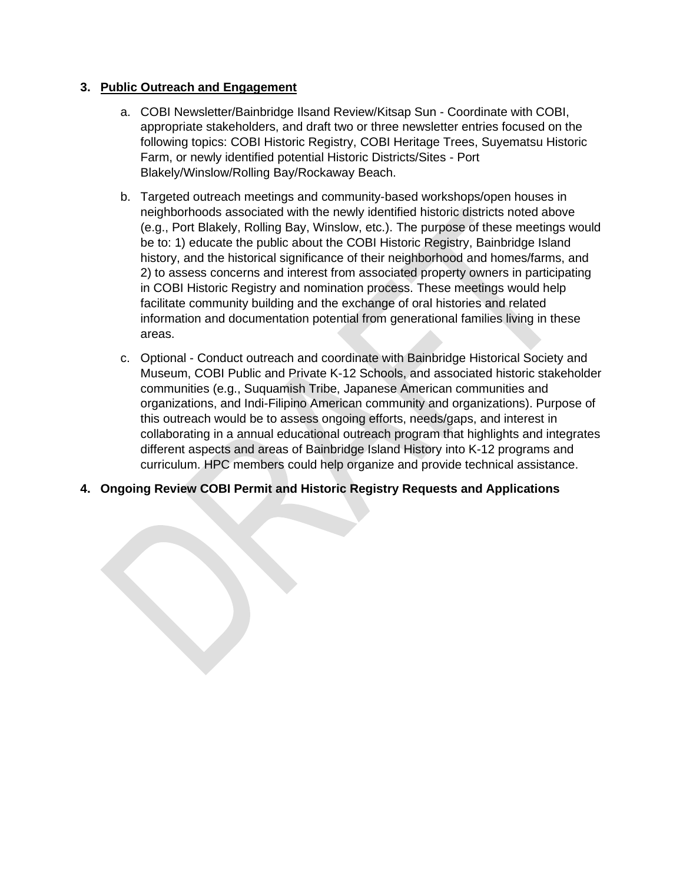#### **3. Public Outreach and Engagement**

- a. COBI Newsletter/Bainbridge Ilsand Review/Kitsap Sun Coordinate with COBI, appropriate stakeholders, and draft two or three newsletter entries focused on the following topics: COBI Historic Registry, COBI Heritage Trees, Suyematsu Historic Farm, or newly identified potential Historic Districts/Sites - Port Blakely/Winslow/Rolling Bay/Rockaway Beach.
- b. Targeted outreach meetings and community-based workshops/open houses in neighborhoods associated with the newly identified historic districts noted above (e.g., Port Blakely, Rolling Bay, Winslow, etc.). The purpose of these meetings would be to: 1) educate the public about the COBI Historic Registry, Bainbridge Island history, and the historical significance of their neighborhood and homes/farms, and 2) to assess concerns and interest from associated property owners in participating in COBI Historic Registry and nomination process. These meetings would help facilitate community building and the exchange of oral histories and related information and documentation potential from generational families living in these areas.
- c. Optional Conduct outreach and coordinate with Bainbridge Historical Society and Museum, COBI Public and Private K-12 Schools, and associated historic stakeholder communities (e.g., Suquamish Tribe, Japanese American communities and organizations, and Indi-Filipino American community and organizations). Purpose of this outreach would be to assess ongoing efforts, needs/gaps, and interest in collaborating in a annual educational outreach program that highlights and integrates different aspects and areas of Bainbridge Island History into K-12 programs and curriculum. HPC members could help organize and provide technical assistance.
- **4. Ongoing Review COBI Permit and Historic Registry Requests and Applications**